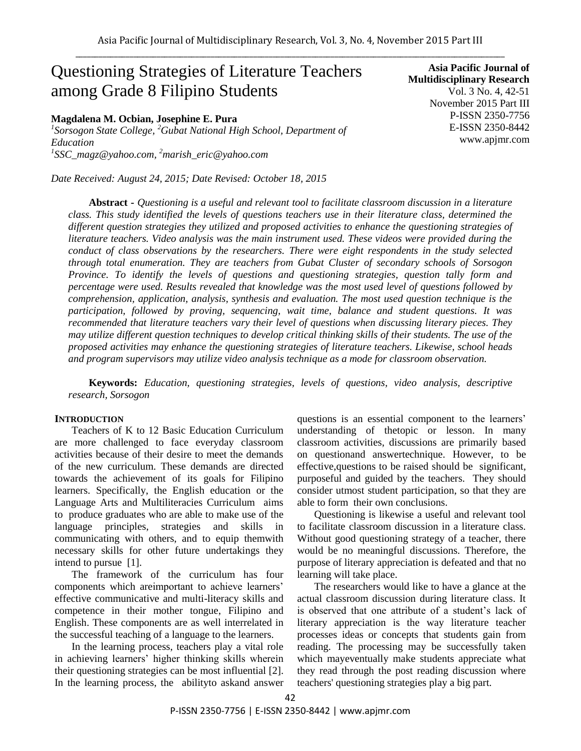# Questioning Strategies of Literature Teachers among Grade 8 Filipino Students

## **Magdalena M. Ocbian, Josephine E. Pura**

*1 Sorsogon State College, <sup>2</sup>Gubat National High School, Department of Education 1 SSC\_magz@yahoo.com, <sup>2</sup>marish\_eric@yahoo.com*

*Date Received: August 24, 2015; Date Revised: October 18, 2015*

**Asia Pacific Journal of Multidisciplinary Research** Vol. 3 No. 4, 42-51 November 2015 Part III P-ISSN 2350-7756 E-ISSN 2350-8442 www.apjmr.com

**Abstract -** *Questioning is a useful and relevant tool to facilitate classroom discussion in a literature class. This study identified the levels of questions teachers use in their literature class, determined the different question strategies they utilized and proposed activities to enhance the questioning strategies of literature teachers. Video analysis was the main instrument used. These videos were provided during the conduct of class observations by the researchers. There were eight respondents in the study selected through total enumeration. They are teachers from Gubat Cluster of secondary schools of Sorsogon Province. To identify the levels of questions and questioning strategies, question tally form and percentage were used. Results revealed that knowledge was the most used level of questions followed by comprehension, application, analysis, synthesis and evaluation. The most used question technique is the participation, followed by proving, sequencing, wait time, balance and student questions. It was recommended that literature teachers vary their level of questions when discussing literary pieces. They may utilize different question techniques to develop critical thinking skills of their students. The use of the proposed activities may enhance the questioning strategies of literature teachers. Likewise, school heads and program supervisors may utilize video analysis technique as a mode for classroom observation.*

**Keywords:** *Education, questioning strategies, levels of questions, video analysis, descriptive research, Sorsogon*

### **INTRODUCTION**

Teachers of K to 12 Basic Education Curriculum are more challenged to face everyday classroom activities because of their desire to meet the demands of the new curriculum. These demands are directed towards the achievement of its goals for Filipino learners. Specifically, the English education or the Language Arts and Multiliteracies Curriculum aims to produce graduates who are able to make use of the language principles, strategies and skills in communicating with others, and to equip themwith necessary skills for other future undertakings they intend to pursue [1].

The framework of the curriculum has four components which areimportant to achieve learners" effective communicative and multi-literacy skills and competence in their mother tongue, Filipino and English. These components are as well interrelated in the successful teaching of a language to the learners.

In the learning process, teachers play a vital role in achieving learners' higher thinking skills wherein their questioning strategies can be most influential [2]. In the learning process, the abilityto askand answer questions is an essential component to the learners' understanding of thetopic or lesson. In many classroom activities, discussions are primarily based on questionand answertechnique. However, to be effective,questions to be raised should be significant, purposeful and guided by the teachers. They should consider utmost student participation, so that they are able to form their own conclusions.

Questioning is likewise a useful and relevant tool to facilitate classroom discussion in a literature class. Without good questioning strategy of a teacher, there would be no meaningful discussions. Therefore, the purpose of literary appreciation is defeated and that no learning will take place.

The researchers would like to have a glance at the actual classroom discussion during literature class. It is observed that one attribute of a student"s lack of literary appreciation is the way literature teacher processes ideas or concepts that students gain from reading. The processing may be successfully taken which mayeventually make students appreciate what they read through the post reading discussion where teachers' questioning strategies play a big part.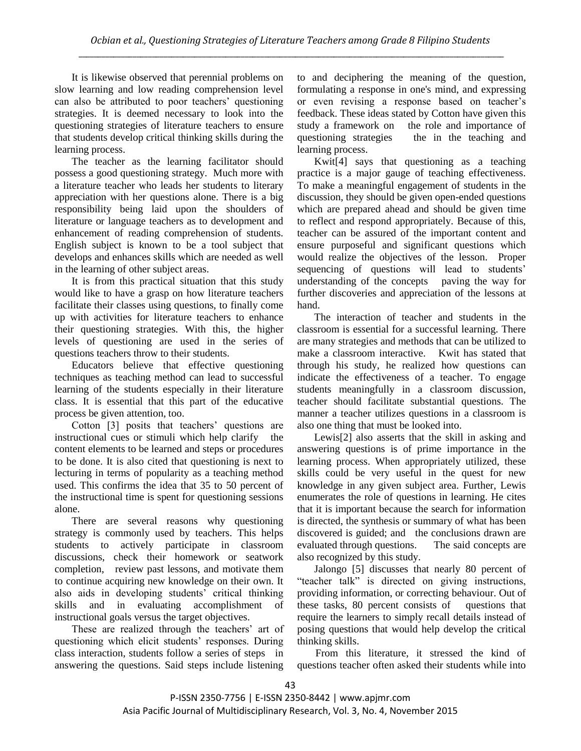It is likewise observed that perennial problems on slow learning and low reading comprehension level can also be attributed to poor teachers' questioning strategies. It is deemed necessary to look into the questioning strategies of literature teachers to ensure that students develop critical thinking skills during the learning process.

The teacher as the learning facilitator should possess a good questioning strategy. Much more with a literature teacher who leads her students to literary appreciation with her questions alone. There is a big responsibility being laid upon the shoulders of literature or language teachers as to development and enhancement of reading comprehension of students. English subject is known to be a tool subject that develops and enhances skills which are needed as well in the learning of other subject areas.

It is from this practical situation that this study would like to have a grasp on how literature teachers facilitate their classes using questions, to finally come up with activities for literature teachers to enhance their questioning strategies. With this, the higher levels of questioning are used in the series of questions teachers throw to their students.

Educators believe that effective questioning techniques as teaching method can lead to successful learning of the students especially in their literature class. It is essential that this part of the educative process be given attention, too.

Cotton [3] posits that teachers' questions are instructional cues or stimuli which help clarify the content elements to be learned and steps or procedures to be done. It is also cited that questioning is next to lecturing in terms of popularity as a teaching method used. This confirms the idea that 35 to 50 percent of the instructional time is spent for questioning sessions alone.

There are several reasons why questioning strategy is commonly used by teachers. This helps students to actively participate in classroom discussions, check their homework or seatwork completion, review past lessons, and motivate them to continue acquiring new knowledge on their own. It also aids in developing students' critical thinking skills and in evaluating accomplishment of instructional goals versus the target objectives.

These are realized through the teachers' art of questioning which elicit students' responses. During class interaction, students follow a series of steps in answering the questions. Said steps include listening to and deciphering the meaning of the question, formulating a response in one's mind, and expressing or even revising a response based on teacher"s feedback. These ideas stated by Cotton have given this study a framework on the role and importance of questioning strategies the in the teaching and learning process.

Kwit[4] says that questioning as a teaching practice is a major gauge of teaching effectiveness. To make a meaningful engagement of students in the discussion, they should be given open-ended questions which are prepared ahead and should be given time to reflect and respond appropriately. Because of this, teacher can be assured of the important content and ensure purposeful and significant questions which would realize the objectives of the lesson. Proper sequencing of questions will lead to students' understanding of the concepts paving the way for further discoveries and appreciation of the lessons at hand.

The interaction of teacher and students in the classroom is essential for a successful learning. There are many strategies and methods that can be utilized to make a classroom interactive. Kwit has stated that through his study, he realized how questions can indicate the effectiveness of a teacher. To engage students meaningfully in a classroom discussion, teacher should facilitate substantial questions. The manner a teacher utilizes questions in a classroom is also one thing that must be looked into.

Lewis[2] also asserts that the skill in asking and answering questions is of prime importance in the learning process. When appropriately utilized, these skills could be very useful in the quest for new knowledge in any given subject area. Further, Lewis enumerates the role of questions in learning. He cites that it is important because the search for information is directed, the synthesis or summary of what has been discovered is guided; and the conclusions drawn are evaluated through questions. The said concepts are also recognized by this study.

Jalongo [5] discusses that nearly 80 percent of "teacher talk" is directed on giving instructions, providing information, or correcting behaviour. Out of these tasks, 80 percent consists of questions that require the learners to simply recall details instead of posing questions that would help develop the critical thinking skills.

 From this literature, it stressed the kind of questions teacher often asked their students while into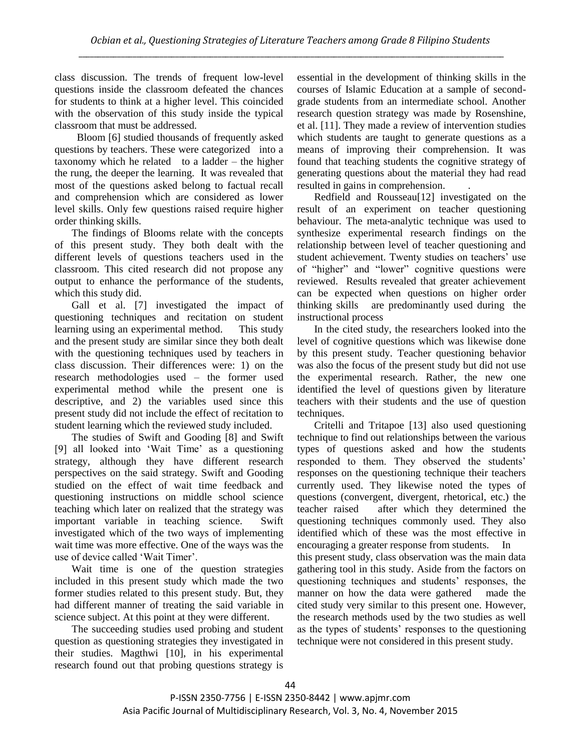class discussion. The trends of frequent low-level questions inside the classroom defeated the chances for students to think at a higher level. This coincided with the observation of this study inside the typical classroom that must be addressed.

 Bloom [6] studied thousands of frequently asked questions by teachers. These were categorized into a taxonomy which he related to a ladder – the higher the rung, the deeper the learning. It was revealed that most of the questions asked belong to factual recall and comprehension which are considered as lower level skills. Only few questions raised require higher order thinking skills.

The findings of Blooms relate with the concepts of this present study. They both dealt with the different levels of questions teachers used in the classroom. This cited research did not propose any output to enhance the performance of the students, which this study did.

Gall et al. [7] investigated the impact of questioning techniques and recitation on student learning using an experimental method. This study and the present study are similar since they both dealt with the questioning techniques used by teachers in class discussion. Their differences were: 1) on the research methodologies used – the former used experimental method while the present one is descriptive, and 2) the variables used since this present study did not include the effect of recitation to student learning which the reviewed study included.

The studies of Swift and Gooding [8] and Swift [9] all looked into 'Wait Time' as a questioning strategy, although they have different research perspectives on the said strategy. Swift and Gooding studied on the effect of wait time feedback and questioning instructions on middle school science teaching which later on realized that the strategy was important variable in teaching science. Swift investigated which of the two ways of implementing wait time was more effective. One of the ways was the use of device called 'Wait Timer'.

Wait time is one of the question strategies included in this present study which made the two former studies related to this present study. But, they had different manner of treating the said variable in science subject. At this point at they were different.

The succeeding studies used probing and student question as questioning strategies they investigated in their studies. Magthwi [10], in his experimental research found out that probing questions strategy is essential in the development of thinking skills in the courses of Islamic Education at a sample of secondgrade students from an intermediate school. Another research question strategy was made by Rosenshine, et al. [11]. They made a review of intervention studies which students are taught to generate questions as a means of improving their comprehension. It was found that teaching students the cognitive strategy of generating questions about the material they had read resulted in gains in comprehension. .

Redfield and Rousseau[12] investigated on the result of an experiment on teacher questioning behaviour. The meta-analytic technique was used to synthesize experimental research findings on the relationship between level of teacher questioning and student achievement. Twenty studies on teachers' use of "higher" and "lower" cognitive questions were reviewed. Results revealed that greater achievement can be expected when questions on higher order thinking skills are predominantly used during the instructional process

In the cited study, the researchers looked into the level of cognitive questions which was likewise done by this present study. Teacher questioning behavior was also the focus of the present study but did not use the experimental research. Rather, the new one identified the level of questions given by literature teachers with their students and the use of question techniques.

Critelli and Tritapoe [13] also used questioning technique to find out relationships between the various types of questions asked and how the students responded to them. They observed the students' responses on the questioning technique their teachers currently used. They likewise noted the types of questions (convergent, divergent, rhetorical, etc.) the teacher raised after which they determined the questioning techniques commonly used. They also identified which of these was the most effective in encouraging a greater response from students. In

this present study, class observation was the main data gathering tool in this study. Aside from the factors on questioning techniques and students' responses, the manner on how the data were gathered made the cited study very similar to this present one. However, the research methods used by the two studies as well as the types of students' responses to the questioning technique were not considered in this present study.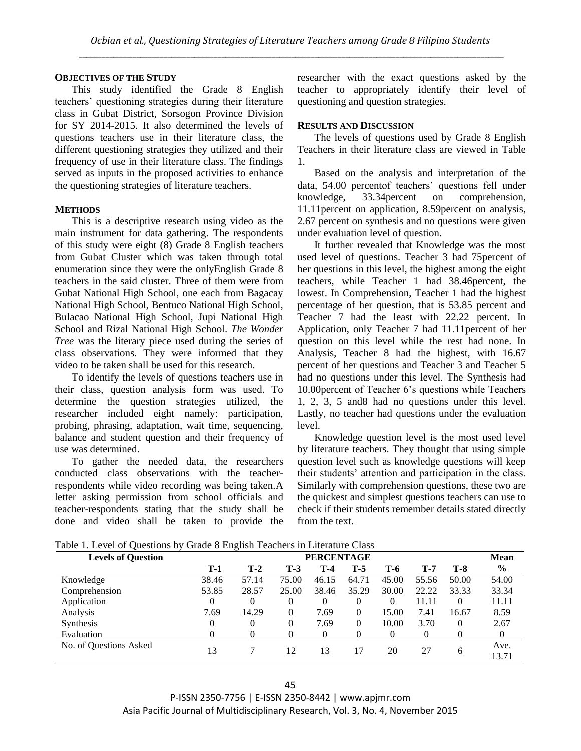## **OBJECTIVES OF THE STUDY**

This study identified the Grade 8 English teachers" questioning strategies during their literature class in Gubat District, Sorsogon Province Division for SY 2014-2015. It also determined the levels of questions teachers use in their literature class, the different questioning strategies they utilized and their frequency of use in their literature class. The findings served as inputs in the proposed activities to enhance the questioning strategies of literature teachers.

#### **METHODS**

This is a descriptive research using video as the main instrument for data gathering. The respondents of this study were eight (8) Grade 8 English teachers from Gubat Cluster which was taken through total enumeration since they were the onlyEnglish Grade 8 teachers in the said cluster. Three of them were from Gubat National High School, one each from Bagacay National High School, Bentuco National High School, Bulacao National High School, Jupi National High School and Rizal National High School. *The Wonder Tree* was the literary piece used during the series of class observations. They were informed that they video to be taken shall be used for this research.

To identify the levels of questions teachers use in their class, question analysis form was used. To determine the question strategies utilized, the researcher included eight namely: participation, probing, phrasing, adaptation, wait time, sequencing, balance and student question and their frequency of use was determined.

To gather the needed data, the researchers conducted class observations with the teacherrespondents while video recording was being taken.A letter asking permission from school officials and teacher-respondents stating that the study shall be done and video shall be taken to provide the researcher with the exact questions asked by the teacher to appropriately identify their level of questioning and question strategies.

#### **RESULTS AND DISCUSSION**

The levels of questions used by Grade 8 English Teachers in their literature class are viewed in Table 1.

Based on the analysis and interpretation of the data, 54.00 percentof teachers' questions fell under knowledge, 33.34percent on comprehension, 11.11percent on application, 8.59percent on analysis, 2.67 percent on synthesis and no questions were given under evaluation level of question.

It further revealed that Knowledge was the most used level of questions. Teacher 3 had 75percent of her questions in this level, the highest among the eight teachers, while Teacher 1 had 38.46percent, the lowest. In Comprehension, Teacher 1 had the highest percentage of her question, that is 53.85 percent and Teacher 7 had the least with 22.22 percent. In Application, only Teacher 7 had 11.11percent of her question on this level while the rest had none. In Analysis, Teacher 8 had the highest, with 16.67 percent of her questions and Teacher 3 and Teacher 5 had no questions under this level. The Synthesis had 10.00percent of Teacher 6"s questions while Teachers 1, 2, 3, 5 and8 had no questions under this level. Lastly, no teacher had questions under the evaluation level.

Knowledge question level is the most used level by literature teachers. They thought that using simple question level such as knowledge questions will keep their students" attention and participation in the class. Similarly with comprehension questions, these two are the quickest and simplest questions teachers can use to check if their students remember details stated directly from the text.

| <b>Levels of Question</b> | <b>PERCENTAGE</b> |          |          |          |          |       |          |          | <b>Mean</b>   |
|---------------------------|-------------------|----------|----------|----------|----------|-------|----------|----------|---------------|
|                           | $T-1$             | $T-2$    | $T-3$    | $T-4$    | T-5      | T-6   | $T-7$    | T-8      | $\%$          |
| Knowledge                 | 38.46             | 57.14    | 75.00    | 46.15    | 64.71    | 45.00 | 55.56    | 50.00    | 54.00         |
| Comprehension             | 53.85             | 28.57    | 25.00    | 38.46    | 35.29    | 30.00 | 22.22    | 33.33    | 33.34         |
| Application               | $\theta$          | $\theta$ | $\Omega$ | $\theta$ | 0        | 0     | 11.11    | $\Omega$ | 11.11         |
| Analysis                  | 7.69              | 14.29    | 0        | 7.69     | $\theta$ | 15.00 | 7.41     | 16.67    | 8.59          |
| Synthesis                 |                   | $\theta$ | 0        | 7.69     | 0        | 10.00 | 3.70     | 0        | 2.67          |
| Evaluation                |                   | 0        |          | $\Omega$ | $\theta$ | 0     | $\theta$ | $\Omega$ |               |
| No. of Questions Asked    | 13                |          | 12       | 13       | 17       | 20    | 27       | 6        | Ave.<br>13.71 |

Table 1. Level of Questions by Grade 8 English Teachers in Literature Class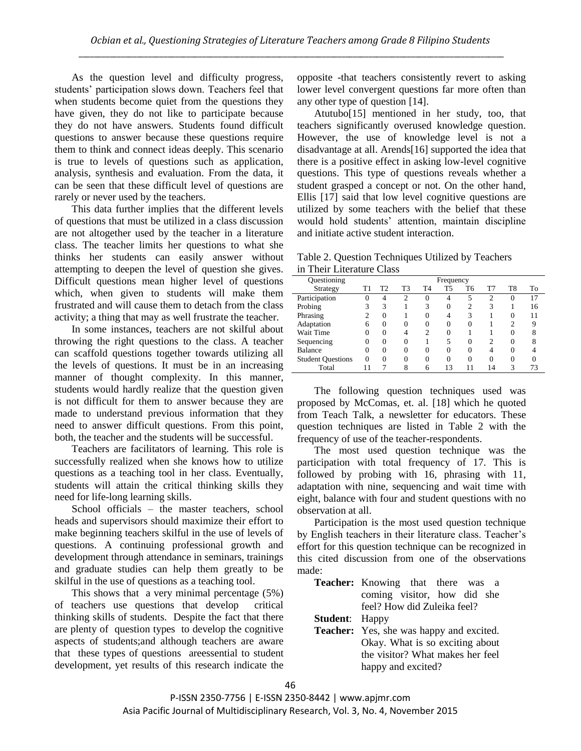As the question level and difficulty progress, students" participation slows down. Teachers feel that when students become quiet from the questions they have given, they do not like to participate because they do not have answers. Students found difficult questions to answer because these questions require them to think and connect ideas deeply. This scenario is true to levels of questions such as application, analysis, synthesis and evaluation. From the data, it can be seen that these difficult level of questions are rarely or never used by the teachers.

This data further implies that the different levels of questions that must be utilized in a class discussion are not altogether used by the teacher in a literature class. The teacher limits her questions to what she thinks her students can easily answer without attempting to deepen the level of question she gives. Difficult questions mean higher level of questions which, when given to students will make them frustrated and will cause them to detach from the class activity; a thing that may as well frustrate the teacher.

In some instances, teachers are not skilful about throwing the right questions to the class. A teacher can scaffold questions together towards utilizing all the levels of questions. It must be in an increasing manner of thought complexity. In this manner, students would hardly realize that the question given is not difficult for them to answer because they are made to understand previous information that they need to answer difficult questions. From this point, both, the teacher and the students will be successful.

Teachers are facilitators of learning. This role is successfully realized when she knows how to utilize questions as a teaching tool in her class. Eventually, students will attain the critical thinking skills they need for life-long learning skills.

School officials – the master teachers, school heads and supervisors should maximize their effort to make beginning teachers skilful in the use of levels of questions. A continuing professional growth and development through attendance in seminars, trainings and graduate studies can help them greatly to be skilful in the use of questions as a teaching tool.

This shows that a very minimal percentage (5%) of teachers use questions that develop critical thinking skills of students. Despite the fact that there are plenty of question types to develop the cognitive aspects of students;and although teachers are aware that these types of questions areessential to student development, yet results of this research indicate the

opposite -that teachers consistently revert to asking lower level convergent questions far more often than any other type of question [14].

Atutubo[15] mentioned in her study, too, that teachers significantly overused knowledge question. However, the use of knowledge level is not a disadvantage at all. Arends[16] supported the idea that there is a positive effect in asking low-level cognitive questions. This type of questions reveals whether a student grasped a concept or not. On the other hand, Ellis [17] said that low level cognitive questions are utilized by some teachers with the belief that these would hold students" attention, maintain discipline and initiate active student interaction.

Table 2. Question Techniques Utilized by Teachers in Their Literature Class

| <br>Then Lawrence Crubb  |           |          |                   |          |          |                |    |    |    |
|--------------------------|-----------|----------|-------------------|----------|----------|----------------|----|----|----|
| Questioning              | Frequency |          |                   |          |          |                |    |    |    |
| Strategy                 | T1        | T2       | T3                | T4       | T5       | T6             | T7 | T8 | To |
| Participation            | 0         | 4        | ↑                 | 0        | 4        | 5              | ◠  |    | 17 |
| Probing                  | 3         | 3        |                   | 3        | 0        | $\overline{c}$ | 3  |    | 16 |
| Phrasing                 | 2         | $\Omega$ |                   | Ω        | 4        | 3              |    |    |    |
| Adaptation               | 6         |          | $\mathbf{\Omega}$ |          | $\theta$ | 0              |    |    |    |
| Wait Time                |           |          |                   | ↑        | $\Omega$ |                |    |    |    |
| Sequencing               |           | $\Omega$ | 0                 |          | 5        | 0              | C  |    |    |
| <b>Balance</b>           | 0         | $\Omega$ | 0                 | $\Omega$ | $\Omega$ | 0              |    |    |    |
| <b>Student Questions</b> | 0         |          |                   |          |          | 0              |    |    |    |
| Total                    |           |          | 8                 | 6        | 13       |                | 14 |    | 73 |

The following question techniques used was proposed by McComas, et. al. [18] which he quoted from Teach Talk, a newsletter for educators. These question techniques are listed in Table 2 with the frequency of use of the teacher-respondents.

The most used question technique was the participation with total frequency of 17. This is followed by probing with 16, phrasing with 11, adaptation with nine, sequencing and wait time with eight, balance with four and student questions with no observation at all.

Participation is the most used question technique by English teachers in their literature class. Teacher"s effort for this question technique can be recognized in this cited discussion from one of the observations made:

|                       | <b>Teacher:</b> Knowing that there was a        |
|-----------------------|-------------------------------------------------|
|                       | coming visitor, how did she                     |
|                       | feel? How did Zuleika feel?                     |
| <b>Student: Happy</b> |                                                 |
|                       | <b>Teacher:</b> Yes, she was happy and excited. |
|                       | Okay. What is so exciting about                 |
|                       | the visitor? What makes her feel                |
|                       | happy and excited?                              |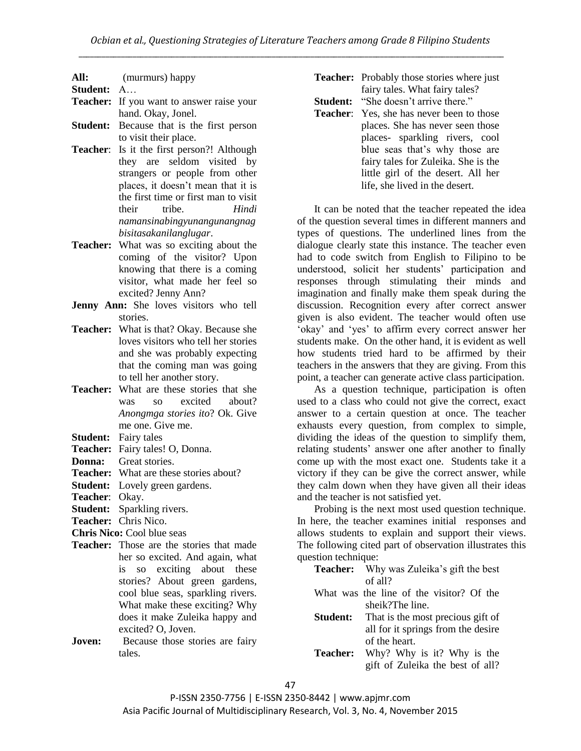**All:** (murmurs) happy

**Student:** A…

- **Teacher:** If you want to answer raise your hand. Okay, Jonel.
- **Student:** Because that is the first person to visit their place.
- **Teacher**: Is it the first person?! Although they are seldom visited by strangers or people from other places, it doesn"t mean that it is the first time or first man to visit their tribe. *Hindi namansinabingyunangunangnag bisitasakanilanglugar*.
- **Teacher:** What was so exciting about the coming of the visitor? Upon knowing that there is a coming visitor, what made her feel so excited? Jenny Ann?
- **Jenny Ann:** She loves visitors who tell stories.
- **Teacher:** What is that? Okay. Because she loves visitors who tell her stories and she was probably expecting that the coming man was going to tell her another story.
- **Teacher:** What are these stories that she was so excited about? *Anongmga stories ito*? Ok. Give me one. Give me.
- **Student:** Fairy tales
- **Teacher:** Fairy tales! O, Donna.
- **Donna:** Great stories.
- **Teacher:** What are these stories about?
- **Student:** Lovely green gardens.
- **Teacher**: Okay.
- **Student:** Sparkling rivers.
- **Teacher:** Chris Nico.
- **Chris Nico:** Cool blue seas
- **Teacher:** Those are the stories that made her so excited. And again, what is so exciting about these stories? About green gardens, cool blue seas, sparkling rivers. What make these exciting? Why does it make Zuleika happy and excited? O, Joven.
- **Joven:** Because those stories are fairy tales.

| <b>Teacher:</b> Probably those stories where just |
|---------------------------------------------------|
| fairy tales. What fairy tales?                    |
|                                                   |

**Student:** "She doesn't arrive there."

**Teacher:** Yes, she has never been to those places. She has never seen those places- sparkling rivers, cool blue seas that's why those are fairy tales for Zuleika. She is the little girl of the desert. All her life, she lived in the desert.

It can be noted that the teacher repeated the idea of the question several times in different manners and types of questions. The underlined lines from the dialogue clearly state this instance. The teacher even had to code switch from English to Filipino to be understood, solicit her students' participation and responses through stimulating their minds and imagination and finally make them speak during the discussion. Recognition every after correct answer given is also evident. The teacher would often use "okay" and "yes" to affirm every correct answer her students make. On the other hand, it is evident as well how students tried hard to be affirmed by their teachers in the answers that they are giving. From this point, a teacher can generate active class participation.

As a question technique, participation is often used to a class who could not give the correct, exact answer to a certain question at once. The teacher exhausts every question, from complex to simple, dividing the ideas of the question to simplify them, relating students' answer one after another to finally come up with the most exact one. Students take it a victory if they can be give the correct answer, while they calm down when they have given all their ideas and the teacher is not satisfied yet.

Probing is the next most used question technique. In here, the teacher examines initial responses and allows students to explain and support their views. The following cited part of observation illustrates this question technique:

**Teacher:** Why was Zuleika's gift the best of all?

What was the line of the visitor? Of the sheik?The line.

- **Student:** That is the most precious gift of all for it springs from the desire of the heart.
- **Teacher:** Why? Why is it? Why is the gift of Zuleika the best of all?

P-ISSN 2350-7756 | E-ISSN 2350-8442 | www.apjmr.com Asia Pacific Journal of Multidisciplinary Research, Vol. 3, No. 4, November 2015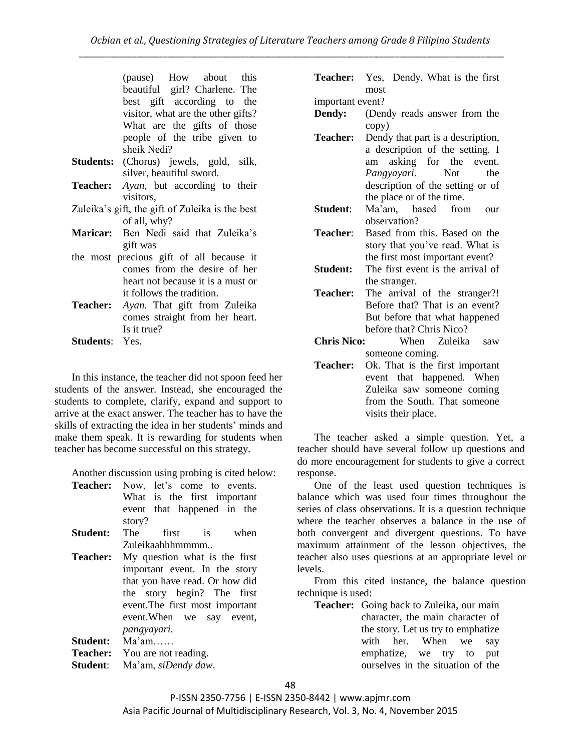(pause) How about this beautiful girl? Charlene. The best gift according to the visitor, what are the other gifts? What are the gifts of those people of the tribe given to sheik Nedi?

- **Students:** (Chorus) jewels, gold, silk, silver, beautiful sword.
- **Teacher:** *Ayan*, but according to their visitors,
- Zuleika"s gift, the gift of Zuleika is the best of all, why?
- **Maricar:** Ben Nedi said that Zuleika"s gift was
- the most precious gift of all because it comes from the desire of her heart not because it is a must or it follows the tradition.
- **Teacher:** *Ayan*. That gift from Zuleika comes straight from her heart. Is it true?

**Students**: Yes.

In this instance, the teacher did not spoon feed her students of the answer. Instead, she encouraged the students to complete, clarify, expand and support to arrive at the exact answer. The teacher has to have the skills of extracting the idea in her students' minds and make them speak. It is rewarding for students when teacher has become successful on this strategy.

Another discussion using probing is cited below:

|                 | <i>Reporter discussion using probing is cried belief</i> |  |  |  |  |  |  |
|-----------------|----------------------------------------------------------|--|--|--|--|--|--|
| Teacher:        | Now, let's come to events.                               |  |  |  |  |  |  |
|                 | What is the first important                              |  |  |  |  |  |  |
|                 | event that happened in the                               |  |  |  |  |  |  |
|                 | story?                                                   |  |  |  |  |  |  |
| Student:        | The<br>first is<br>when                                  |  |  |  |  |  |  |
|                 | Zuleikaahhhmmmm                                          |  |  |  |  |  |  |
| <b>Teacher:</b> | My question what is the first                            |  |  |  |  |  |  |
|                 | important event. In the story                            |  |  |  |  |  |  |
|                 | that you have read. Or how did                           |  |  |  |  |  |  |
|                 | the story begin? The first                               |  |  |  |  |  |  |
|                 | event. The first most important                          |  |  |  |  |  |  |
|                 | event. When we say event,                                |  |  |  |  |  |  |
|                 | pangyayari.                                              |  |  |  |  |  |  |
|                 | <b>Student:</b> Ma'am                                    |  |  |  |  |  |  |
|                 | <b>Teacher:</b> You are not reading.                     |  |  |  |  |  |  |
| Student:        | Ma'am, siDendy daw.                                      |  |  |  |  |  |  |

**Teacher:** Yes, Dendy. What is the first most

important event?

**Dendy:** (Dendy reads answer from the copy)

**Teacher:** Dendy that part is a description, a description of the setting. I am asking for the event. *Pangyayari.* Not the description of the setting or of the place or of the time.

**Student:** Ma'am, based from our observation?

**Teacher**: Based from this. Based on the story that you"ve read. What is the first most important event?

- **Student:** The first event is the arrival of the stranger.
- **Teacher:** The arrival of the stranger?! Before that? That is an event? But before that what happened before that? Chris Nico?

**Chris Nico:** When Zuleika saw someone coming.

**Teacher:** Ok. That is the first important event that happened. When Zuleika saw someone coming from the South. That someone visits their place.

The teacher asked a simple question. Yet, a teacher should have several follow up questions and do more encouragement for students to give a correct response.

One of the least used question techniques is balance which was used four times throughout the series of class observations. It is a question technique where the teacher observes a balance in the use of both convergent and divergent questions. To have maximum attainment of the lesson objectives, the teacher also uses questions at an appropriate level or levels.

From this cited instance, the balance question technique is used:

**Teacher:** Going back to Zuleika, our main character, the main character of the story. Let us try to emphatize with her. When we say emphatize, we try to put ourselves in the situation of the

48

P-ISSN 2350-7756 | E-ISSN 2350-8442 | www.apjmr.com Asia Pacific Journal of Multidisciplinary Research, Vol. 3, No. 4, November 2015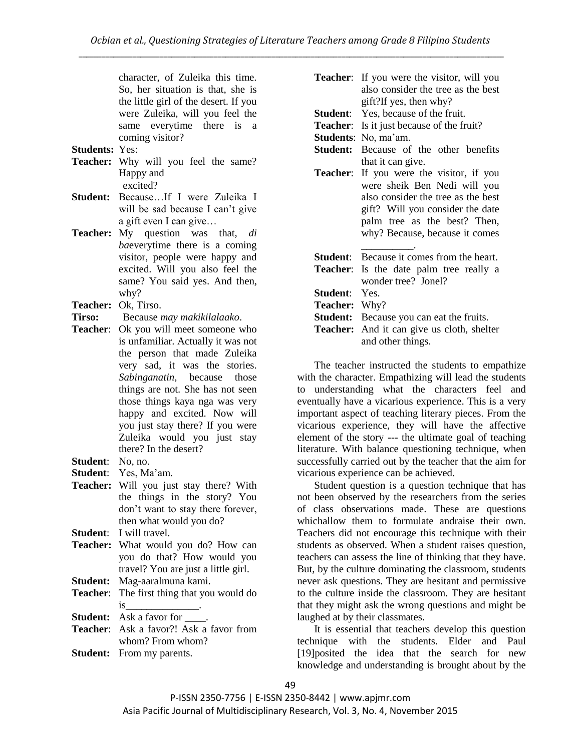character, of Zuleika this time. So, her situation is that, she is the little girl of the desert. If you were Zuleika, will you feel the same everytime there is a coming visitor?

**Students:** Yes:

- **Teacher:** Why will you feel the same? Happy and excited?
- **Student:** Because…If I were Zuleika I will be sad because I can't give a gift even I can give…
- **Teacher:** My question was that, *di ba*everytime there is a coming visitor, people were happy and excited. Will you also feel the same? You said yes. And then, why?
- **Teacher:** Ok, Tirso.
- **Tirso:** Because *may makikilalaako*.
- **Teacher**: Ok you will meet someone who is unfamiliar. Actually it was not the person that made Zuleika very sad, it was the stories. *Sabinganatin*, because those things are not. She has not seen those things kaya nga was very happy and excited. Now will you just stay there? If you were Zuleika would you just stay there? In the desert?

**Student**: No, no.

**Student:** Yes, Ma'am.

- **Teacher:** Will you just stay there? With the things in the story? You don"t want to stay there forever, then what would you do? **Student**: I will travel.
- **Teacher:** What would you do? How can you do that? How would you travel? You are just a little girl.
- **Student:** Mag-aaralmuna kami.
- **Teacher**: The first thing that you would do is\_\_\_\_\_\_\_\_\_\_\_\_\_\_.

**Student:** Ask a favor for \_\_\_\_\_.

- **Teacher**: Ask a favor?! Ask a favor from whom? From whom?
- **Student:** From my parents.

| <b>Teacher:</b>      | If you were the visitor, will you                 |
|----------------------|---------------------------------------------------|
|                      | also consider the tree as the best                |
|                      | gift?If yes, then why?                            |
|                      | <b>Student:</b> Yes, because of the fruit.        |
| <b>Teacher:</b>      | Is it just because of the fruit?                  |
|                      | <b>Students:</b> No, ma'am.                       |
| <b>Student:</b>      | Because of the other benefits                     |
|                      | that it can give.                                 |
| <b>Teacher:</b>      | If you were the visitor, if you                   |
|                      | were sheik Ben Nedi will you                      |
|                      | also consider the tree as the best                |
|                      | gift? Will you consider the date                  |
|                      | palm tree as the best? Then,                      |
|                      | why? Because, because it comes                    |
|                      |                                                   |
|                      | <b>Student:</b> Because it comes from the heart.  |
|                      | <b>Teacher:</b> Is the date palm tree really a    |
|                      | wonder tree? Jonel?                               |
| <b>Student:</b>      | Yes.                                              |
| <b>Teacher:</b> Why? |                                                   |
|                      | <b>Student:</b> Because you can eat the fruits.   |
|                      | <b>Teacher:</b> And it can give us cloth, shelter |
|                      | and other things.                                 |
|                      |                                                   |

The teacher instructed the students to empathize with the character. Empathizing will lead the students to understanding what the characters feel and eventually have a vicarious experience. This is a very important aspect of teaching literary pieces. From the vicarious experience, they will have the affective element of the story --- the ultimate goal of teaching literature. With balance questioning technique, when successfully carried out by the teacher that the aim for vicarious experience can be achieved.

Student question is a question technique that has not been observed by the researchers from the series of class observations made. These are questions whichallow them to formulate andraise their own. Teachers did not encourage this technique with their students as observed. When a student raises question, teachers can assess the line of thinking that they have. But, by the culture dominating the classroom, students never ask questions. They are hesitant and permissive to the culture inside the classroom. They are hesitant that they might ask the wrong questions and might be laughed at by their classmates.

It is essential that teachers develop this question technique with the students. Elder and Paul [19]posited the idea that the search for new knowledge and understanding is brought about by the

P-ISSN 2350-7756 | E-ISSN 2350-8442 | www.apjmr.com Asia Pacific Journal of Multidisciplinary Research, Vol. 3, No. 4, November 2015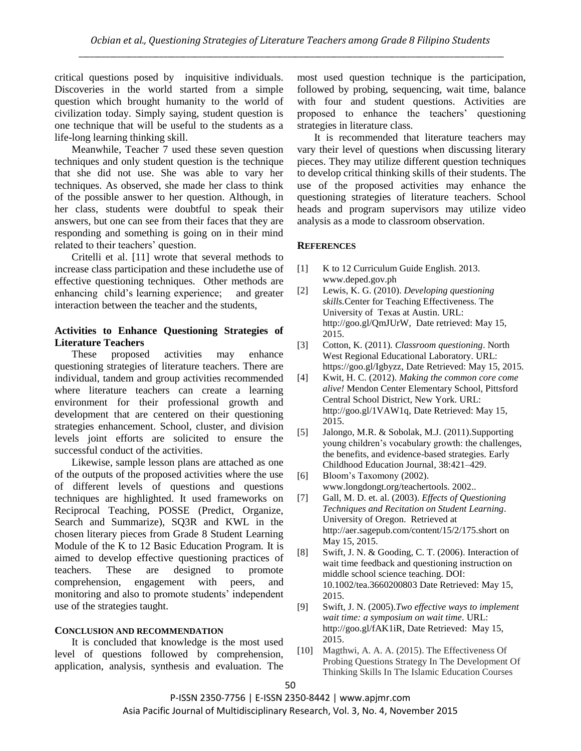critical questions posed by inquisitive individuals. Discoveries in the world started from a simple question which brought humanity to the world of civilization today. Simply saying, student question is one technique that will be useful to the students as a life-long learning thinking skill.

Meanwhile, Teacher 7 used these seven question techniques and only student question is the technique that she did not use. She was able to vary her techniques. As observed, she made her class to think of the possible answer to her question. Although, in her class, students were doubtful to speak their answers, but one can see from their faces that they are responding and something is going on in their mind related to their teachers' question.

Critelli et al. [11] wrote that several methods to increase class participation and these includethe use of effective questioning techniques. Other methods are enhancing child"s learning experience; and greater interaction between the teacher and the students,

## **Activities to Enhance Questioning Strategies of Literature Teachers**

These proposed activities may enhance questioning strategies of literature teachers. There are individual, tandem and group activities recommended where literature teachers can create a learning environment for their professional growth and development that are centered on their questioning strategies enhancement. School, cluster, and division levels joint efforts are solicited to ensure the successful conduct of the activities.

Likewise, sample lesson plans are attached as one of the outputs of the proposed activities where the use of different levels of questions and questions techniques are highlighted. It used frameworks on Reciprocal Teaching, POSSE (Predict, Organize, Search and Summarize), SQ3R and KWL in the chosen literary pieces from Grade 8 Student Learning Module of the K to 12 Basic Education Program. It is aimed to develop effective questioning practices of teachers. These are designed to promote comprehension, engagement with peers, and monitoring and also to promote students' independent use of the strategies taught.

## **CONCLUSION AND RECOMMENDATION**

It is concluded that knowledge is the most used level of questions followed by comprehension, application, analysis, synthesis and evaluation. The

most used question technique is the participation, followed by probing, sequencing, wait time, balance with four and student questions. Activities are proposed to enhance the teachers" questioning strategies in literature class.

It is recommended that literature teachers may vary their level of questions when discussing literary pieces. They may utilize different question techniques to develop critical thinking skills of their students. The use of the proposed activities may enhance the questioning strategies of literature teachers. School heads and program supervisors may utilize video analysis as a mode to classroom observation.

## **REFERENCES**

- [1] K to 12 Curriculum Guide English. 2013. [www.deped.gov.ph](http://www.deped.gov.ph/)
- [2] Lewis, K. G. (2010). *Developing questioning skills.*Center for Teaching Effectiveness. The University of Texas at Austin. URL: http://goo.gl/QmJUrW, Date retrieved: May 15, 2015.
- [3] Cotton, K. (2011). *Classroom questioning*. North West Regional Educational Laboratory. URL: https://goo.gl/Igbyzz, Date Retrieved: May 15, 2015.
- [4] Kwit, H. C. (2012). *Making the common core come alive!* Mendon Center Elementary School, Pittsford Central School District, New York. URL: http://goo.gl/1VAW1q, Date Retrieved: May 15, 2015.
- [5] Jalongo, M.R. & Sobolak, M.J. (2011).Supporting young children"s vocabulary growth: the challenges, the benefits, and evidence-based strategies. Early Childhood Education Journal, 38:421–429.
- [6] Bloom's Taxomony (2002). [www.longdongt.org/teachertools. 2002.](http://www.longdongt.org/teachertools.%202002).
- [7] [Gall,](http://aer.sagepub.com/search?author1=Meredith+D.+Gall&sortspec=date&submit=Submit) M. D. et. al. (2003). *Effects of Questioning Techniques and Recitation on Student Learning*. University of Oregon. Retrieved at <http://aer.sagepub.com/content/15/2/175.short> on May 15, 2015.
- [8] Swift, J. N. & Gooding, C. T. (2006). Interaction of wait time feedback and questioning instruction on middle school science teaching. DOI: 10.1002/tea.3660200803 Date Retrieved: May 15, 2015.
- [9] Swift, J. N. (2005).*Two effective ways to implement wait time: a symposium on wait time*. URL: http://goo.gl/fAK1iR, Date Retrieved: [May 15,](http://www.researchgate.net/publication/234680755_Two_Effective_Ways_to_Implement_Wait_Time._A_Symposium_on_Wait_Time%20on%20May%2015) 2015.
- [10] Magthwi, A. A. A. (2015). The Effectiveness Of Probing Questions Strategy In The Development Of Thinking Skills In The Islamic Education Courses